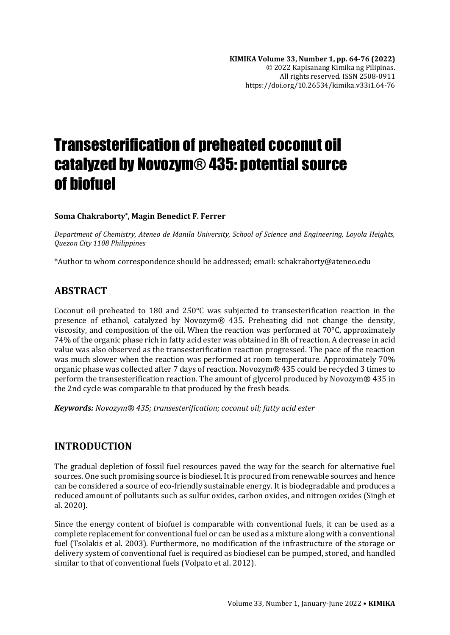# Transesterification of preheated coconut oil catalyzed by Novozym® 435: potential source of biofuel

#### **Soma Chakraborty\* , Magin Benedict F. Ferrer**

*Department of Chemistry, Ateneo de Manila University, School of Science and Engineering, Loyola Heights, Quezon City 1108 Philippines*

\*Author to whom correspondence should be addressed; email: schakraborty@ateneo.edu

## **ABSTRACT**

Coconut oil preheated to 180 and 250°C was subjected to transesterification reaction in the presence of ethanol, catalyzed by Novozym® 435. Preheating did not change the density, viscosity, and composition of the oil. When the reaction was performed at 70°C, approximately 74% of the organic phase rich in fatty acid ester was obtained in 8h of reaction. A decrease in acid value was also observed as the transesterification reaction progressed. The pace of the reaction was much slower when the reaction was performed at room temperature. Approximately 70% organic phase was collected after 7 days of reaction. Novozym® 435 could be recycled 3 times to perform the transesterification reaction. The amount of glycerol produced by Novozym® 435 in the 2nd cycle was comparable to that produced by the fresh beads.

*Keywords: Novozym® 435; transesterification; coconut oil; fatty acid ester*

## **INTRODUCTION**

The gradual depletion of fossil fuel resources paved the way for the search for alternative fuel sources. One such promising source is biodiesel. It is procured from renewable sources and hence can be considered a source of eco-friendly sustainable energy. It is biodegradable and produces a reduced amount of pollutants such as sulfur oxides, carbon oxides, and nitrogen oxides (Singh et al. 2020).

Since the energy content of biofuel is comparable with conventional fuels, it can be used as a complete replacement for conventional fuel or can be used as a mixture along with a conventional fuel (Tsolakis et al. 2003). Furthermore, no modification of the infrastructure of the storage or delivery system of conventional fuel is required as biodiesel can be pumped, stored, and handled similar to that of conventional fuels (Volpato et al. 2012).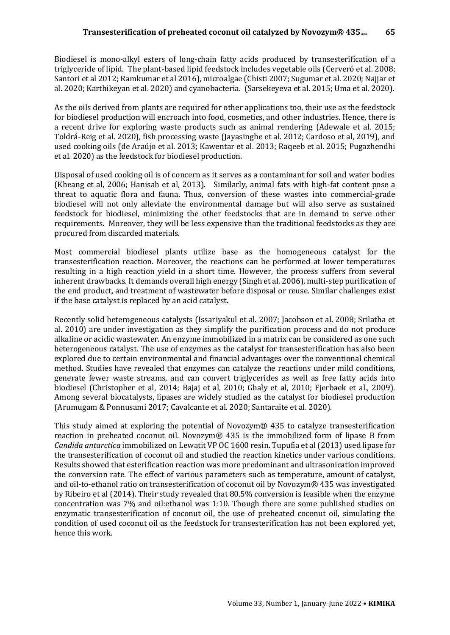Biodiesel is mono-alkyl esters of long-chain fatty acids produced by transesterification of a triglyceride of lipid. The plant-based lipid feedstock includes vegetable oils (Cerveró et al. 2008; Santori et al 2012; Ramkumar et al 2016), microalgae (Chisti 2007; Sugumar et al. 2020; Najjar et al. 2020; Karthikeyan et al. 2020) and cyanobacteria. (Sarsekeyeva et al. 2015; Uma et al. 2020).

As the oils derived from plants are required for other applications too, their use as the feedstock for biodiesel production will encroach into food, cosmetics, and other industries. Hence, there is a recent drive for exploring waste products such as animal rendering (Adewale et al. 2015; Toldrá-Reig et al. 2020), fish processing waste (Jayasinghe et al. 2012; Cardoso et al, 2019), and used cooking oils (de Araújo et al. 2013; Kawentar et al. 2013; Raqeeb et al. 2015; Pugazhendhi et al. 2020) as the feedstock for biodiesel production.

Disposal of used cooking oil is of concern as it serves as a contaminant for soil and water bodies (Kheang et al, 2006; Hanisah et al, 2013). Similarly, animal fats with high-fat content pose a threat to aquatic flora and fauna. Thus, conversion of these wastes into commercial-grade biodiesel will not only alleviate the environmental damage but will also serve as sustained feedstock for biodiesel, minimizing the other feedstocks that are in demand to serve other requirements. Moreover, they will be less expensive than the traditional feedstocks as they are procured from discarded materials.

Most commercial biodiesel plants utilize base as the homogeneous catalyst for the transesterification reaction. Moreover, the reactions can be performed at lower temperatures resulting in a high reaction yield in a short time. However, the process suffers from several inherent drawbacks. It demands overall high energy (Singh et al. 2006), multi-step purification of the end product, and treatment of wastewater before disposal or reuse. Similar challenges exist if the base catalyst is replaced by an acid catalyst.

Recently solid heterogeneous catalysts (Issariyakul et al. 2007; Jacobson et al. 2008; Srilatha et al. 2010) are under investigation as they simplify the purification process and do not produce alkaline or acidic wastewater. An enzyme immobilized in a matrix can be considered as one such heterogeneous catalyst. The use of enzymes as the catalyst for transesterification has also been explored due to certain environmental and financial advantages over the conventional chemical method. Studies have revealed that enzymes can catalyze the reactions under mild conditions, generate fewer waste streams, and can convert triglycerides as well as free fatty acids into biodiesel (Christopher et al, 2014; Bajaj et al, 2010; Ghaly et al, 2010; Fjerbaek et al., 2009). Among several biocatalysts, lipases are widely studied as the catalyst for biodiesel production (Arumugam & Ponnusami 2017; Cavalcante et al. 2020; Santaraite et al. 2020).

This study aimed at exploring the potential of Novozym® 435 to catalyze transesterification reaction in preheated coconut oil. Novozym® 435 is the immobilized form of lipase B from *Candida antarctica* immobilized on Lewatit VP OC 1600 resin. Tupufia et al (2013) used lipase for the transesterification of coconut oil and studied the reaction kinetics under various conditions. Results showed that esterification reaction was more predominant and ultrasonication improved the conversion rate. The effect of various parameters such as temperature, amount of catalyst, and oil-to-ethanol ratio on transesterification of coconut oil by Novozym® 435 was investigated by Ribeiro et al (2014). Their study revealed that 80.5% conversion is feasible when the enzyme concentration was 7% and oil:ethanol was 1:10. Though there are some published studies on enzymatic transesterification of coconut oil, the use of preheated coconut oil, simulating the condition of used coconut oil as the feedstock for transesterification has not been explored yet, hence this work.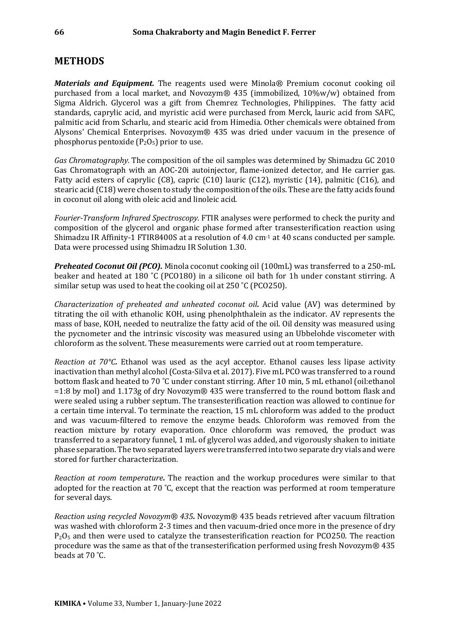#### **METHODS**

*Materials and Equipment.* The reagents used were Minola® Premium coconut cooking oil purchased from a local market, and Novozym® 435 (immobilized, 10%w/w) obtained from Sigma Aldrich. Glycerol was a gift from Chemrez Technologies, Philippines. The fatty acid standards, caprylic acid, and myristic acid were purchased from Merck, lauric acid from SAFC, palmitic acid from Scharlu, and stearic acid from Himedia. Other chemicals were obtained from Alysons' Chemical Enterprises. Novozym® 435 was dried under vacuum in the presence of phosphorus pentoxide  $(P_2O_5)$  prior to use.

*Gas Chromatography.* The composition of the oil samples was determined by Shimadzu GC 2010 Gas Chromatograph with an AOC-20i autoinjector, flame-ionized detector, and He carrier gas. Fatty acid esters of caprylic (C8), capric (C10) lauric (C12), myristic (14), palmitic (C16), and stearic acid (C18) were chosen to study the composition of the oils. These are the fatty acids found in coconut oil along with oleic acid and linoleic acid.

*Fourier-Transform Infrared Spectroscopy.* FTIR analyses were performed to check the purity and composition of the glycerol and organic phase formed after transesterification reaction using Shimadzu IR Affinity-1 FTIR8400S at a resolution of 4.0 cm-1 at 40 scans conducted per sample. Data were processed using Shimadzu IR Solution 1.30.

*Preheated Coconut Oil (PCO).* Minola coconut cooking oil (100mL) was transferred to a 250-mL beaker and heated at 180 ˚C (PCO180) in a silicone oil bath for 1h under constant stirring. A similar setup was used to heat the cooking oil at 250 ˚C (PCO250).

*Characterization of preheated and unheated coconut oil.* Acid value (AV) was determined by titrating the oil with ethanolic KOH, using phenolphthalein as the indicator. AV represents the mass of base, KOH, needed to neutralize the fatty acid of the oil. Oil density was measured using the pycnometer and the intrinsic viscosity was measured using an Ubbelohde viscometer with chloroform as the solvent. These measurements were carried out at room temperature.

*Reaction at 70°C.* Ethanol was used as the acyl acceptor. Ethanol causes less lipase activity inactivation than methyl alcohol (Costa-Silva et al. 2017). Five mL PCO was transferred to a round bottom flask and heated to 70 ˚C under constant stirring. After 10 min, 5 mL ethanol (oil:ethanol =1:8 by mol) and 1.173g of dry Novozym® 435 were transferred to the round bottom flask and were sealed using a rubber septum. The transesterification reaction was allowed to continue for a certain time interval. To terminate the reaction, 15 mL chloroform was added to the product and was vacuum-filtered to remove the enzyme beads. Chloroform was removed from the reaction mixture by rotary evaporation. Once chloroform was removed, the product was transferred to a separatory funnel, 1 mL of glycerol was added, and vigorously shaken to initiate phase separation. The two separated layers were transferred into two separate dry vials and were stored for further characterization.

*Reaction at room temperature.* The reaction and the workup procedures were similar to that adopted for the reaction at 70 ˚C, except that the reaction was performed at room temperature for several days.

*Reaction using recycled Novozym® 435.* Novozym® 435 beads retrieved after vacuum filtration was washed with chloroform 2-3 times and then vacuum-dried once more in the presence of dry  $P<sub>2</sub>O<sub>5</sub>$  and then were used to catalyze the transesterification reaction for PCO250. The reaction procedure was the same as that of the transesterification performed using fresh Novozym® 435 beads at 70 ˚C.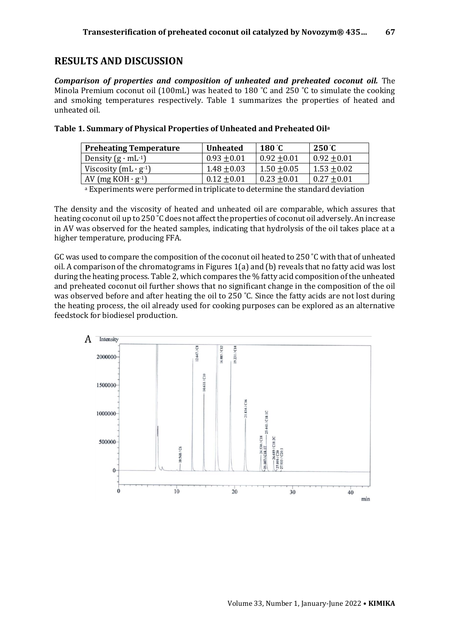## **RESULTS AND DISCUSSION**

*Comparison of properties and composition of unheated and preheated coconut oil.* The Minola Premium coconut oil (100mL) was heated to 180 °C and 250 °C to simulate the cooking and smoking temperatures respectively. Table 1 summarizes the properties of heated and unheated oil.

| <b>Preheating Temperature</b>             | <b>Unheated</b> | 180 $^{\circ}$ C | $250^{\circ}$ C |
|-------------------------------------------|-----------------|------------------|-----------------|
| Density $(g \cdot mL^{-1})$               | $0.93 + 0.01$   | $0.92 + 0.01$    | $0.92 + 0.01$   |
| Viscosity $(mL \cdot g^{-1})$             | $1.48 + 0.03$   | $1.50 + 0.05$    | $1.53 + 0.02$   |
| AV (mg KOH $\cdot$ g <sup>-1</sup> )      | $0.12 + 0.01$   | $0.23 + 0.01$    | $0.27 + 0.01$   |
| $\sim$ $\sim$ $\sim$ $\sim$ $\sim$ $\sim$ |                 |                  | .               |

| Table 1. Summary of Physical Properties of Unheated and Preheated Oil <sup>a</sup> |  |  |  |
|------------------------------------------------------------------------------------|--|--|--|
|                                                                                    |  |  |  |

<sup>a</sup> Experiments were performed in triplicate to determine the standard deviation

The density and the viscosity of heated and unheated oil are comparable, which assures that heating coconut oil up to 250 ˚C does not affect the properties of coconut oil adversely. An increase in AV was observed for the heated samples, indicating that hydrolysis of the oil takes place at a higher temperature, producing FFA.

GC was used to compare the composition of the coconut oil heated to 250 ˚C with that of unheated oil. A comparison of the chromatograms in Figures 1(a) and (b) reveals that no fatty acid was lost during the heating process. Table 2, which compares the % fatty acid composition of the unheated and preheated coconut oil further shows that no significant change in the composition of the oil was observed before and after heating the oil to 250 °C. Since the fatty acids are not lost during the heating process, the oil already used for cooking purposes can be explored as an alternative feedstock for biodiesel production.

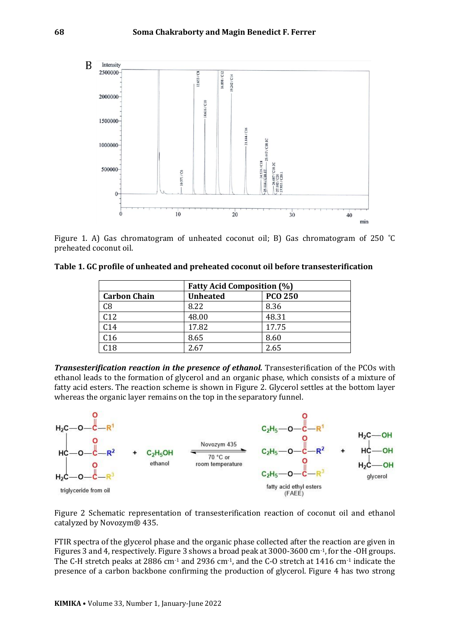

Figure 1. A) Gas chromatogram of unheated coconut oil; B) Gas chromatogram of 250 ˚C preheated coconut oil.

**Table 1. GC profile of unheated and preheated coconut oil before transesterification**

|                     | <b>Fatty Acid Composition (%)</b> |                |  |
|---------------------|-----------------------------------|----------------|--|
| <b>Carbon Chain</b> | <b>Unheated</b>                   | <b>PCO 250</b> |  |
| C8                  | 8.22                              | 8.36           |  |
| C12                 | 48.00                             | 48.31          |  |
| C14                 | 17.82                             | 17.75          |  |
| C16                 | 8.65                              | 8.60           |  |
| C18                 | 2.67                              | 2.65           |  |

**Transesterification reaction in the presence of ethanol.** Transesterification of the PCOs with ethanol leads to the formation of glycerol and an organic phase, which consists of a mixture of fatty acid esters. The reaction scheme is shown in Figure 2. Glycerol settles at the bottom layer whereas the organic layer remains on the top in the separatory funnel.



Figure 2 Schematic representation of transesterification reaction of coconut oil and ethanol catalyzed by Novozym® 435.

FTIR spectra of the glycerol phase and the organic phase collected after the reaction are given in Figures 3 and 4, respectively. Figure 3 shows a broad peak at 3000-3600 cm-1, for the -OH groups. The C-H stretch peaks at 2886 cm<sup>-1</sup> and 2936 cm<sup>-1</sup>, and the C-O stretch at 1416 cm<sup>-1</sup> indicate the presence of a carbon backbone confirming the production of glycerol. Figure 4 has two strong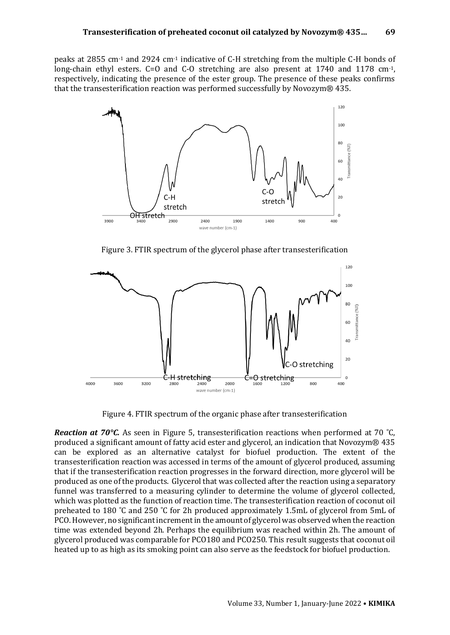peaks at 2855 cm-1 and 2924 cm-1 indicative of C-H stretching from the multiple C-H bonds of long-chain ethyl esters. C=O and C-O stretching are also present at 1740 and 1178 cm<sup>-1</sup>, respectively, indicating the presence of the ester group. The presence of these peaks confirms that the transesterification reaction was performed successfully by Novozym® 435.



Figure 3. FTIR spectrum of the glycerol phase after transesterification



Figure 4. FTIR spectrum of the organic phase after transesterification

*Reaction at 70°C.* As seen in Figure 5, transesterification reactions when performed at 70 ˚C, produced a significant amount of fatty acid ester and glycerol, an indication that Novozym® 435 can be explored as an alternative catalyst for biofuel production. The extent of the transesterification reaction was accessed in terms of the amount of glycerol produced, assuming that if the transesterification reaction progresses in the forward direction, more glycerol will be produced as one of the products. Glycerol that was collected after the reaction using a separatory funnel was transferred to a measuring cylinder to determine the volume of glycerol collected, which was plotted as the function of reaction time. The transesterification reaction of coconut oil preheated to 180 ˚C and 250 ˚C for 2h produced approximately 1.5mL of glycerol from 5mL of PCO. However, no significant increment in the amount of glycerol was observed when the reaction time was extended beyond 2h. Perhaps the equilibrium was reached within 2h. The amount of glycerol produced was comparable for PCO180 and PCO250. This result suggests that coconut oil heated up to as high as its smoking point can also serve as the feedstock for biofuel production.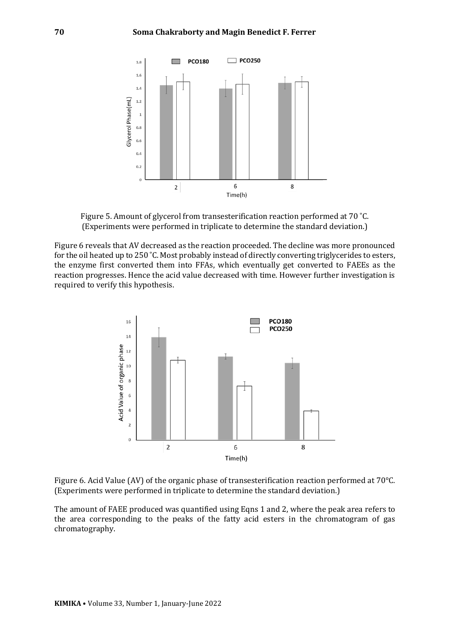

Figure 5. Amount of glycerol from transesterification reaction performed at 70 ˚C. (Experiments were performed in triplicate to determine the standard deviation.)

Figure 6 reveals that AV decreased as the reaction proceeded. The decline was more pronounced for the oil heated up to 250 ˚C. Most probably instead of directly converting triglycerides to esters, the enzyme first converted them into FFAs, which eventually get converted to FAEEs as the reaction progresses. Hence the acid value decreased with time. However further investigation is required to verify this hypothesis.



Figure 6. Acid Value (AV) of the organic phase of transesterification reaction performed at 70°C. (Experiments were performed in triplicate to determine the standard deviation.)

The amount of FAEE produced was quantified using Eqns 1 and 2, where the peak area refers to the area corresponding to the peaks of the fatty acid esters in the chromatogram of gas chromatography.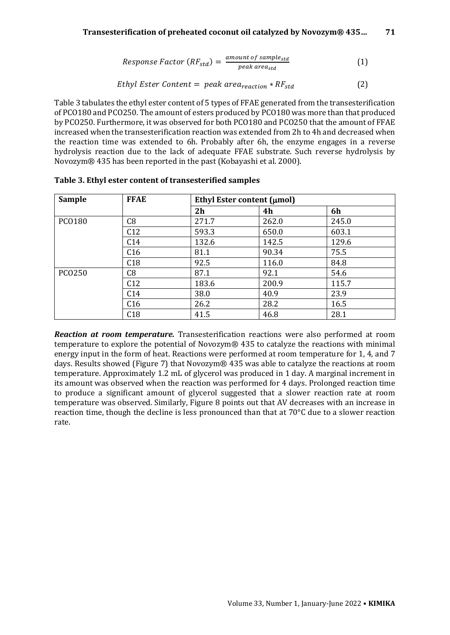#### **Transesterification of preheated coconut oil catalyzed by Novozym® 435… 71**

$$
Response Factor (RF_{std}) = \frac{amount \ of \ sample_{std}}{peak \ area_{std}} \tag{1}
$$

$$
Ethyl Ester Content = peak area_{reaction} * RF_{std}
$$
 (2)

Table 3 tabulates the ethyl ester content of 5 types of FFAE generated from the transesterification of PCO180 and PCO250. The amount of esters produced by PCO180 was more than that produced by PCO250. Furthermore, it was observed for both PCO180 and PCO250 that the amount of FFAE increased when the transesterification reaction was extended from 2h to 4h and decreased when the reaction time was extended to 6h. Probably after 6h, the enzyme engages in a reverse hydrolysis reaction due to the lack of adequate FFAE substrate. Such reverse hydrolysis by Novozym® 435 has been reported in the past (Kobayashi et al. 2000).

| <b>Sample</b> | <b>FFAE</b> | Ethyl Ester content $(\mu mol)$ |       |       |
|---------------|-------------|---------------------------------|-------|-------|
|               |             | 2h                              | 4h    | 6h    |
| <b>PCO180</b> | C8          | 271.7                           | 262.0 | 245.0 |
|               | C12         | 593.3                           | 650.0 | 603.1 |
|               | C14         | 132.6                           | 142.5 | 129.6 |
|               | C16         | 81.1                            | 90.34 | 75.5  |
|               | C18         | 92.5                            | 116.0 | 84.8  |
| <b>PCO250</b> | C8          | 87.1                            | 92.1  | 54.6  |
|               | C12         | 183.6                           | 200.9 | 115.7 |
|               | C14         | 38.0                            | 40.9  | 23.9  |
|               | C16         | 26.2                            | 28.2  | 16.5  |
|               | C18         | 41.5                            | 46.8  | 28.1  |

**Table 3. Ethyl ester content of transesterified samples**

*Reaction at room temperature.* Transesterification reactions were also performed at room temperature to explore the potential of Novozym® 435 to catalyze the reactions with minimal energy input in the form of heat. Reactions were performed at room temperature for 1, 4, and 7 days. Results showed (Figure 7) that Novozym® 435 was able to catalyze the reactions at room temperature. Approximately 1.2 mL of glycerol was produced in 1 day. A marginal increment in its amount was observed when the reaction was performed for 4 days. Prolonged reaction time to produce a significant amount of glycerol suggested that a slower reaction rate at room temperature was observed. Similarly, Figure 8 points out that AV decreases with an increase in reaction time, though the decline is less pronounced than that at 70°C due to a slower reaction rate.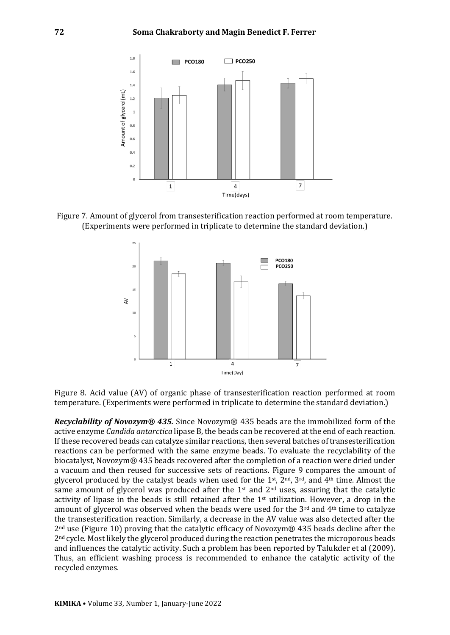

Figure 7. Amount of glycerol from transesterification reaction performed at room temperature. (Experiments were performed in triplicate to determine the standard deviation.)



Figure 8. Acid value (AV) of organic phase of transesterification reaction performed at room temperature. (Experiments were performed in triplicate to determine the standard deviation.)

*Recyclability of Novozym® 435.* Since Novozym® 435 beads are the immobilized form of the active enzyme *Candida antarctica* lipase B, the beads can be recovered at the end of each reaction. If these recovered beads can catalyze similar reactions, then several batches of transesterification reactions can be performed with the same enzyme beads. To evaluate the recyclability of the biocatalyst, Novozym® 435 beads recovered after the completion of a reaction were dried under a vacuum and then reused for successive sets of reactions. Figure 9 compares the amount of glycerol produced by the catalyst beads when used for the 1<sup>st</sup>,  $2<sup>nd</sup>$ ,  $3<sup>rd</sup>$ , and  $4<sup>th</sup>$  time. Almost the same amount of glycerol was produced after the  $1<sup>st</sup>$  and  $2<sup>nd</sup>$  uses, assuring that the catalytic activity of lipase in the beads is still retained after the  $1<sup>st</sup>$  utilization. However, a drop in the amount of glycerol was observed when the beads were used for the  $3<sup>rd</sup>$  and  $4<sup>th</sup>$  time to catalyze the transesterification reaction. Similarly, a decrease in the AV value was also detected after the 2nd use (Figure 10) proving that the catalytic efficacy of Novozym® 435 beads decline after the 2<sup>nd</sup> cycle. Most likely the glycerol produced during the reaction penetrates the microporous beads and influences the catalytic activity. Such a problem has been reported by Talukder et al (2009). Thus, an efficient washing process is recommended to enhance the catalytic activity of the recycled enzymes.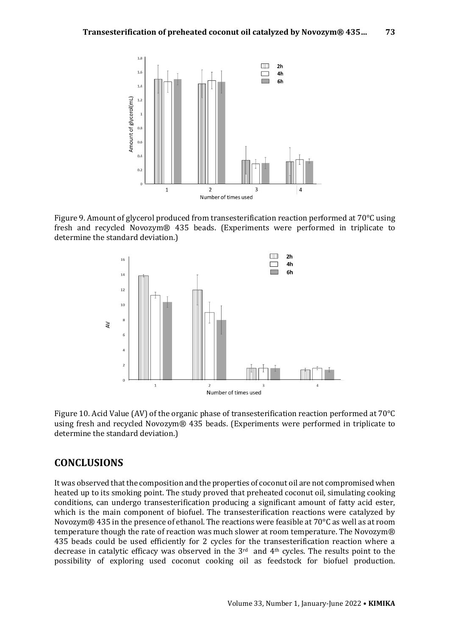

Figure 9. Amount of glycerol produced from transesterification reaction performed at 70°C using fresh and recycled Novozym® 435 beads. (Experiments were performed in triplicate to determine the standard deviation.)



Figure 10. Acid Value (AV) of the organic phase of transesterification reaction performed at 70°C using fresh and recycled Novozym® 435 beads. (Experiments were performed in triplicate to determine the standard deviation.)

#### **CONCLUSIONS**

It was observed that the composition and the properties of coconut oil are not compromised when heated up to its smoking point. The study proved that preheated coconut oil, simulating cooking conditions, can undergo transesterification producing a significant amount of fatty acid ester, which is the main component of biofuel. The transesterification reactions were catalyzed by Novozym® 435 in the presence of ethanol. The reactions were feasible at 70°C as well as at room temperature though the rate of reaction was much slower at room temperature. The Novozym® 435 beads could be used efficiently for 2 cycles for the transesterification reaction where a decrease in catalytic efficacy was observed in the 3rd and 4th cycles. The results point to the possibility of exploring used coconut cooking oil as feedstock for biofuel production.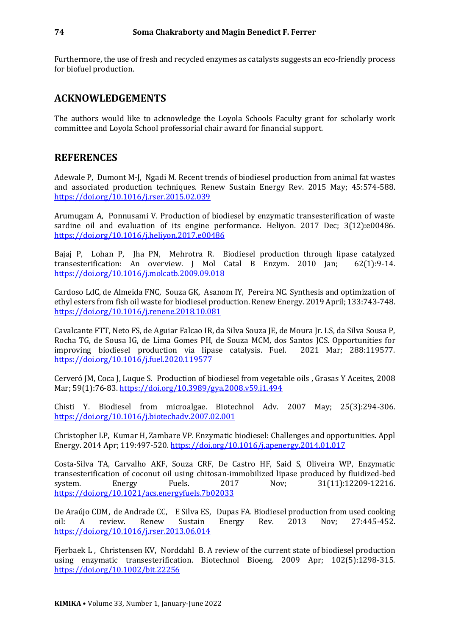Furthermore, the use of fresh and recycled enzymes as catalysts suggests an eco-friendly process for biofuel production.

### **ACKNOWLEDGEMENTS**

The authors would like to acknowledge the Loyola Schools Faculty grant for scholarly work committee and Loyola School professorial chair award for financial support.

#### **REFERENCES**

Adewale P, Dumont M-J, Ngadi M. Recent trends of biodiesel production from animal fat wastes and associated production techniques. Renew Sustain Energy Rev. 2015 May; 45:574-588. <https://doi.org/10.1016/j.rser.2015.02.039>

Arumugam A, Ponnusami V. Production of biodiesel by enzymatic transesterification of waste sardine oil and evaluation of its engine performance. Heliyon. 2017 Dec; 3(12):e00486. <https://doi.org/10.1016/j.heliyon.2017.e00486>

Bajaj P, Lohan P, Jha PN, Mehrotra R. Biodiesel production through lipase catalyzed transesterification: An overview. J Mol Catal B Enzym. 2010 Jan; 62(1):9-14. <https://doi.org/10.1016/j.molcatb.2009.09.018>

Cardoso LdC, de Almeida FNC, Souza GK, Asanom IY, Pereira NC. Synthesis and optimization of ethyl esters from fish oil waste for biodiesel production. Renew Energy. 2019 April; 133:743-748. <https://doi.org/10.1016/j.renene.2018.10.081>

Cavalcante FTT, Neto FS, de Aguiar Falcao IR, da Silva Souza JE, de Moura Jr. LS, da Silva Sousa P, Rocha TG, de Sousa IG, de Lima Gomes PH, de Souza MCM, dos Santos JCS. Opportunities for improving biodiesel production via lipase catalysis. Fuel. 2021 Mar; 288:119577. <https://doi.org/10.1016/j.fuel.2020.119577>

Cerveró JM, Coca J, Luque S. Production of biodiesel from vegetable oils , Grasas Y Aceites, 2008 Mar; 59(1):76-83[. https://doi.org/10.3989/gya.2008.v59.i1.494](https://doi.org/10.3989/gya.2008.v59.i1.494)

Chisti Y. Biodiesel from microalgae. Biotechnol Adv. 2007 May; 25(3):294-306. <https://doi.org/10.1016/j.biotechadv.2007.02.001>

Christopher LP, Kumar H, Zambare VP. Enzymatic biodiesel: Challenges and opportunities. Appl Energy. 2014 Apr; 119:497-520[. https://doi.org/10.1016/j.apenergy.2014.01.017](https://doi.org/10.1016/j.apenergy.2014.01.017)

Costa-Silva TA, Carvalho AKF, Souza CRF, De Castro HF, Said S, Oliveira WP, Enzymatic transesterification of coconut oil using chitosan-immobilized lipase produced by fluidized-bed system. Energy Fuels. 2017 Nov; 31(11):12209-12216. <https://doi.org/10.1021/acs.energyfuels.7b02033>

De Araújo CDM, de Andrade CC, E Silva ES, Dupas FA. Biodiesel production from used cooking oil: A review. Renew Sustain Energy Rev. 2013 Nov; 27:445-452. <https://doi.org/10.1016/j.rser.2013.06.014>

Fjerbaek L , Christensen KV, Norddahl B. A review of the current state of biodiesel production using enzymatic transesterification. Biotechnol Bioeng. 2009 Apr; 102(5):1298-315. <https://doi.org/10.1002/bit.22256>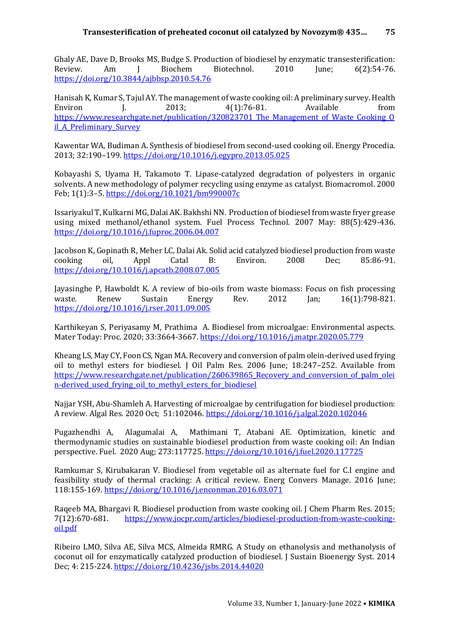Ghaly AE, Dave D, Brooks MS, Budge S. Production of biodiesel by enzymatic transesterification: Review. Am J Biochem Biotechnol. 2010 June; 6(2):54-76. <https://doi.org/10.3844/ajbbsp.2010.54.76>

Hanisah K, Kumar S, Tajul AY. The management of waste cooking oil: A preliminary survey. Health Environ I. 2013; 4(1):76-81. Available from https://www.researchgate.net/publication/320823701 The Management of Waste Cooking O il A Preliminary Survey

Kawentar WA, Budiman A. Synthesis of biodiesel from second-used cooking oil. Energy Procedia. 2013; 32:190–199[. https://doi.org/10.1016/j.egypro.2013.05.025](https://doi.org/10.1016/j.egypro.2013.05.025)

Kobayashi S, Uyama H, Takamoto T. Lipase-catalyzed degradation of polyesters in organic solvents. A new methodology of polymer recycling using enzyme as catalyst. Biomacromol. 2000 Feb; 1(1):3–5[. https://doi.org/10.1021/bm990007c](https://doi.org/10.1021/bm990007c)

Issariyakul T, Kulkarni MG, Dalai AK. Bakhshi NN. Production of biodiesel from waste fryer grease using mixed methanol/ethanol system. Fuel Process Technol. 2007 May: 88(5):429-436. <https://doi.org/10.1016/j.fuproc.2006.04.007>

Jacobson K, Gopinath R, Meher LC, Dalai Ak. Solid acid catalyzed biodiesel production from waste cooking oil, Appl Catal B: Environ. 2008 Dec; 85:86-91. <https://doi.org/10.1016/j.apcatb.2008.07.005>

Jayasinghe P, Hawboldt K. A review of bio-oils from waste biomass: Focus on fish processing waste. Renew Sustain Energy Rev. 2012 Jan; 16(1):798-821. <https://doi.org/10.1016/j.rser.2011.09.005>

Karthikeyan S, Periyasamy M, Prathima A. Biodiesel from microalgae: Environmental aspects. Mater Today: Proc. 2020; 33:3664-3667.<https://doi.org/10.1016/j.matpr.2020.05.779>

Kheang LS, May CY, Foon CS, Ngan MA. Recovery and conversion of palm olein-derived used frying oil to methyl esters for biodiesel. J Oil Palm Res. 2006 June; 18:247–252. Available from https://www.researchgate.net/publication/260639865 Recovery and conversion of palm olei n-derived used frying oil to methyl esters for biodiesel

Najjar YSH, Abu-Shamleh A. Harvesting of microalgae by centrifugation for biodiesel production: A review. Algal Res. 2020 Oct; 51:102046[. https://doi.org/10.1016/j.algal.2020.102046](https://doi.org/10.1016/j.algal.2020.102046)

Pugazhendhi A, Alagumalai A, Mathimani T, Atabani AE. Optimization, kinetic and thermodynamic studies on sustainable biodiesel production from waste cooking oil: An Indian perspective. Fuel. 2020 Aug; 273:117725.<https://doi.org/10.1016/j.fuel.2020.117725>

Ramkumar S, Kirubakaran V. Biodiesel from vegetable oil as alternate fuel for C.I engine and feasibility study of thermal cracking: A critical review. Energ Convers Manage. 2016 June; 118:155-169. <https://doi.org/10.1016/j.enconman.2016.03.071>

Raqeeb MA, Bhargavi R. Biodiesel production from waste cooking oil. J Chem Pharm Res. 2015; 7(12):670-681. [https://www.jocpr.com/articles/biodiesel-production-from-waste-cooking](https://www.jocpr.com/articles/biodiesel-production-from-waste-cooking-oil.pdf)[oil.pdf](https://www.jocpr.com/articles/biodiesel-production-from-waste-cooking-oil.pdf)

Ribeiro LMO, Silva AE, Silva MCS, Almeida RMRG. A Study on ethanolysis and methanolysis of coconut oil for enzymatically catalyzed production of biodiesel. J Sustain Bioenergy Syst. 2014 Dec; 4: 215-224.<https://doi.org/10.4236/jsbs.2014.44020>